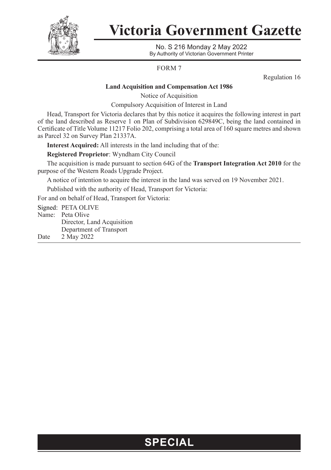

## **Victoria Government Gazette**

No. S 216 Monday 2 May 2022 By Authority of Victorian Government Printer

FORM 7

Regulation 16

#### **Land Acquisition and Compensation Act 1986**

Notice of Acquisition

Compulsory Acquisition of Interest in Land

Head, Transport for Victoria declares that by this notice it acquires the following interest in part of the land described as Reserve 1 on Plan of Subdivision 629849C, being the land contained in Certificate of Title Volume 11217 Folio 202, comprising a total area of 160 square metres and shown as Parcel 32 on Survey Plan 21337A.

**Interest Acquired:** All interests in the land including that of the:

**Registered Proprietor**: Wyndham City Council

The acquisition is made pursuant to section 64G of the **Transport Integration Act 2010** for the purpose of the Western Roads Upgrade Project.

A notice of intention to acquire the interest in the land was served on 19 November 2021.

Published with the authority of Head, Transport for Victoria:

For and on behalf of Head, Transport for Victoria:

Signed: PETA OLIVE Name: Peta Olive Director, Land Acquisition Department of Transport Date 2 May 2022

### **SPECIAL**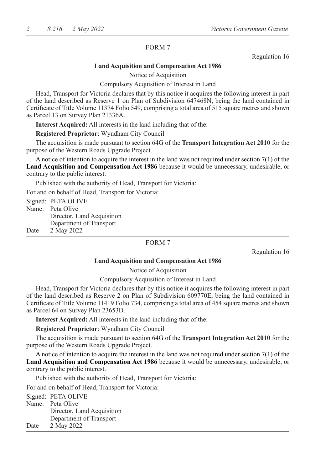#### FORM 7

Regulation 16

#### **Land Acquisition and Compensation Act 1986**

Notice of Acquisition

#### Compulsory Acquisition of Interest in Land

Head, Transport for Victoria declares that by this notice it acquires the following interest in part of the land described as Reserve 1 on Plan of Subdivision 647468N, being the land contained in Certificate of Title Volume 11374 Folio 549, comprising a total area of 515 square metres and shown as Parcel 13 on Survey Plan 21336A.

**Interest Acquired:** All interests in the land including that of the:

**Registered Proprietor**: Wyndham City Council

The acquisition is made pursuant to section 64G of the **Transport Integration Act 2010** for the purpose of the Western Roads Upgrade Project.

A notice of intention to acquire the interest in the land was not required under section 7(1) of the **Land Acquisition and Compensation Act 1986** because it would be unnecessary, undesirable, or contrary to the public interest.

Published with the authority of Head, Transport for Victoria:

For and on behalf of Head, Transport for Victoria:

|      | Signed: PETA OLIVE         |
|------|----------------------------|
|      | Name: Peta Olive           |
|      | Director, Land Acquisition |
|      | Department of Transport    |
| Date | 2 May 2022                 |
|      |                            |

#### FORM 7

Regulation 16

#### **Land Acquisition and Compensation Act 1986**

Notice of Acquisition

#### Compulsory Acquisition of Interest in Land

Head, Transport for Victoria declares that by this notice it acquires the following interest in part of the land described as Reserve 2 on Plan of Subdivision 609770E, being the land contained in Certificate of Title Volume 11419 Folio 734, comprising a total area of 454 square metres and shown as Parcel 64 on Survey Plan 23653D.

**Interest Acquired:** All interests in the land including that of the:

**Registered Proprietor**: Wyndham City Council

The acquisition is made pursuant to section 64G of the **Transport Integration Act 2010** for the purpose of the Western Roads Upgrade Project.

A notice of intention to acquire the interest in the land was not required under section 7(1) of the **Land Acquisition and Compensation Act 1986** because it would be unnecessary, undesirable, or contrary to the public interest.

Published with the authority of Head, Transport for Victoria:

For and on behalf of Head, Transport for Victoria:

Signed: PETA OLIVE Name: Peta Olive Director, Land Acquisition Department of Transport Date 2 May 2022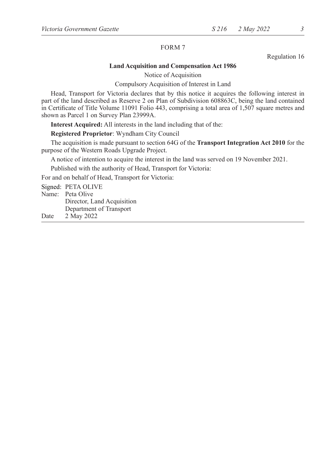#### FORM 7

Regulation 16

#### **Land Acquisition and Compensation Act 1986**

Notice of Acquisition

Compulsory Acquisition of Interest in Land

Head, Transport for Victoria declares that by this notice it acquires the following interest in part of the land described as Reserve 2 on Plan of Subdivision 608863C, being the land contained in Certificate of Title Volume 11091 Folio 443, comprising a total area of 1,507 square metres and shown as Parcel 1 on Survey Plan 23999A.

**Interest Acquired:** All interests in the land including that of the:

**Registered Proprietor**: Wyndham City Council

The acquisition is made pursuant to section 64G of the **Transport Integration Act 2010** for the purpose of the Western Roads Upgrade Project.

A notice of intention to acquire the interest in the land was served on 19 November 2021.

Published with the authority of Head, Transport for Victoria:

For and on behalf of Head, Transport for Victoria:

Signed: PETA OLIVE

Name: Peta Olive

Director, Land Acquisition

Department of Transport

Date 2 May 2022